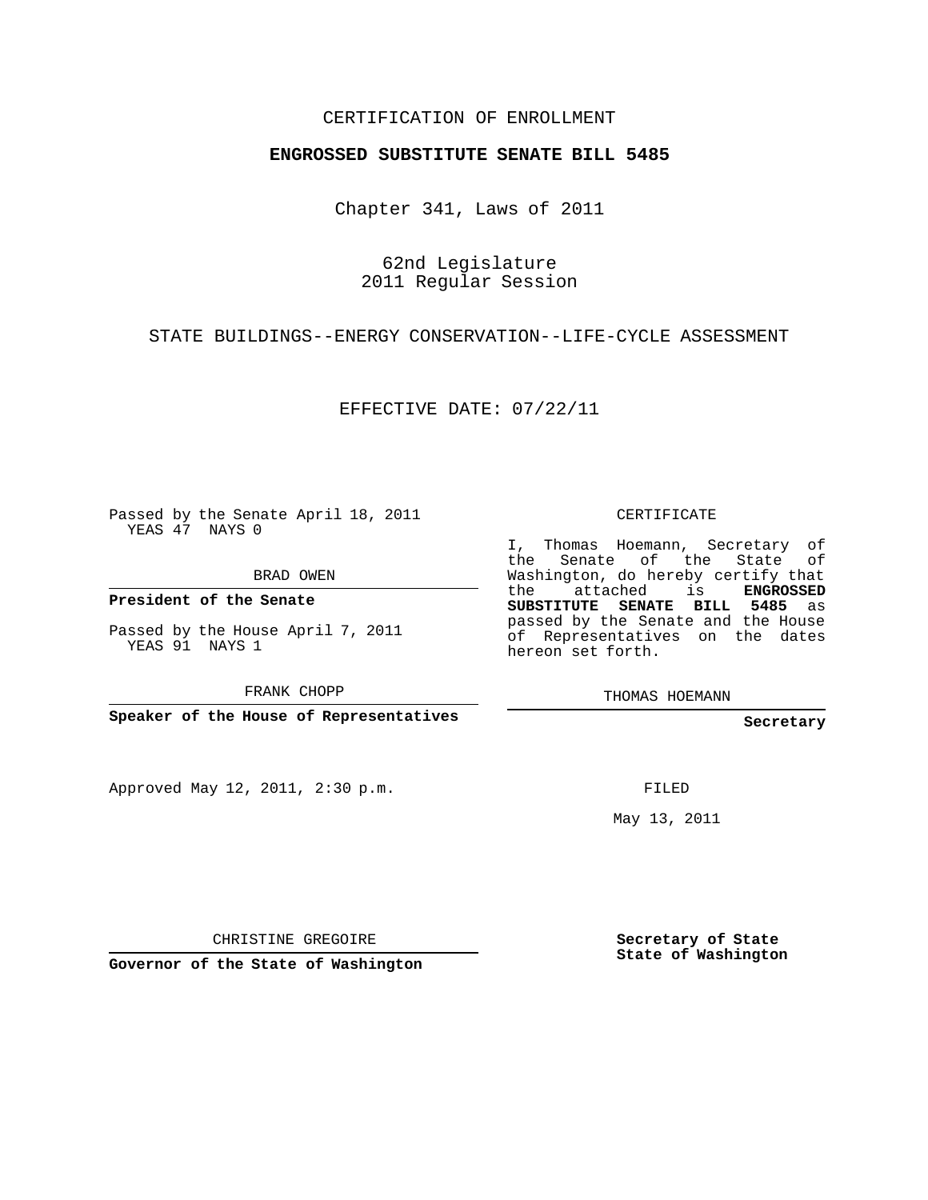## CERTIFICATION OF ENROLLMENT

## **ENGROSSED SUBSTITUTE SENATE BILL 5485**

Chapter 341, Laws of 2011

62nd Legislature 2011 Regular Session

STATE BUILDINGS--ENERGY CONSERVATION--LIFE-CYCLE ASSESSMENT

EFFECTIVE DATE: 07/22/11

Passed by the Senate April 18, 2011 YEAS 47 NAYS 0

BRAD OWEN

**President of the Senate**

Passed by the House April 7, 2011 YEAS 91 NAYS 1

FRANK CHOPP

**Speaker of the House of Representatives**

Approved May 12, 2011, 2:30 p.m.

CERTIFICATE

I, Thomas Hoemann, Secretary of the Senate of the State of Washington, do hereby certify that the attached is **ENGROSSED SUBSTITUTE SENATE BILL 5485** as passed by the Senate and the House of Representatives on the dates hereon set forth.

THOMAS HOEMANN

**Secretary**

FILED

May 13, 2011

CHRISTINE GREGOIRE

**Governor of the State of Washington**

**Secretary of State State of Washington**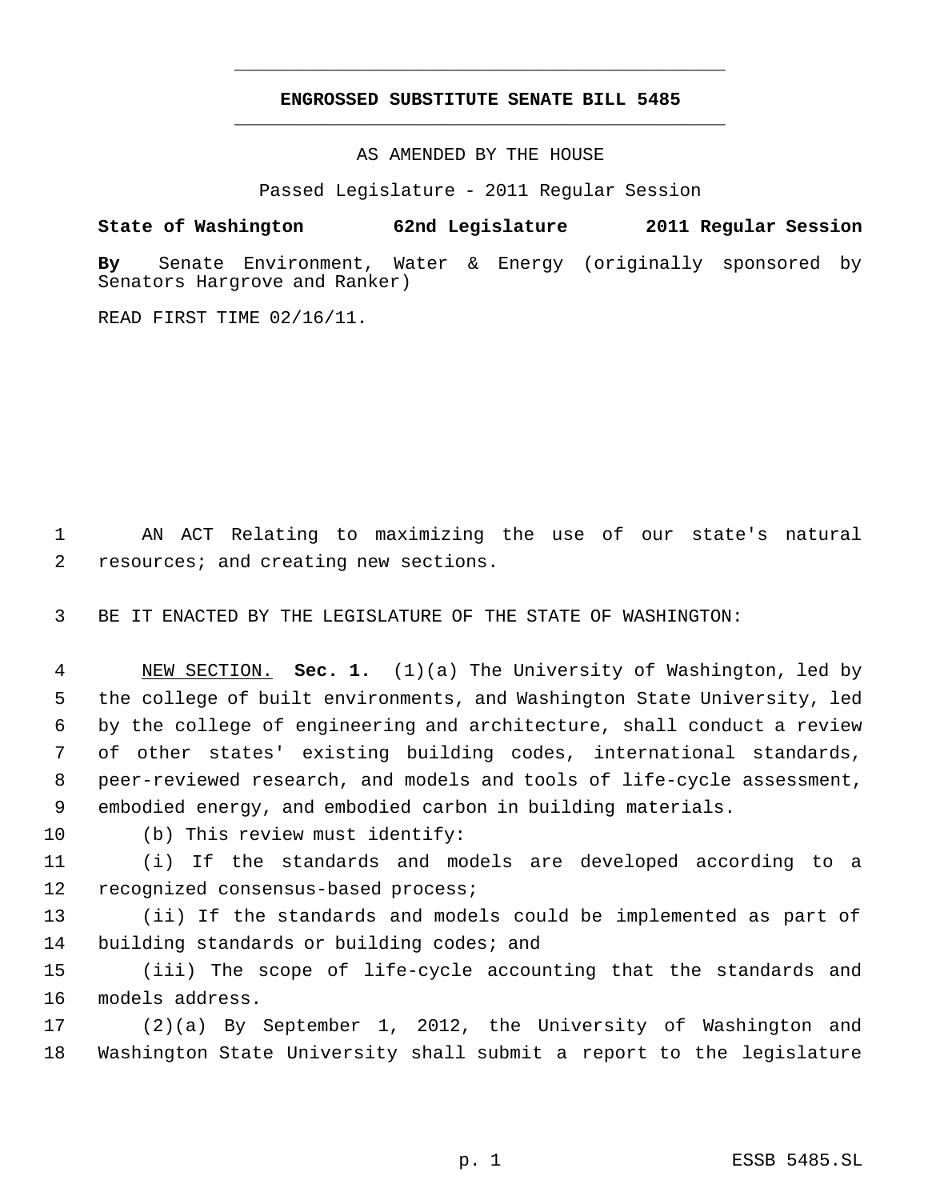## **ENGROSSED SUBSTITUTE SENATE BILL 5485** \_\_\_\_\_\_\_\_\_\_\_\_\_\_\_\_\_\_\_\_\_\_\_\_\_\_\_\_\_\_\_\_\_\_\_\_\_\_\_\_\_\_\_\_\_

\_\_\_\_\_\_\_\_\_\_\_\_\_\_\_\_\_\_\_\_\_\_\_\_\_\_\_\_\_\_\_\_\_\_\_\_\_\_\_\_\_\_\_\_\_

AS AMENDED BY THE HOUSE

Passed Legislature - 2011 Regular Session

## **State of Washington 62nd Legislature 2011 Regular Session**

**By** Senate Environment, Water & Energy (originally sponsored by Senators Hargrove and Ranker)

READ FIRST TIME 02/16/11.

 AN ACT Relating to maximizing the use of our state's natural resources; and creating new sections.

BE IT ENACTED BY THE LEGISLATURE OF THE STATE OF WASHINGTON:

 NEW SECTION. **Sec. 1.** (1)(a) The University of Washington, led by the college of built environments, and Washington State University, led by the college of engineering and architecture, shall conduct a review of other states' existing building codes, international standards, peer-reviewed research, and models and tools of life-cycle assessment, embodied energy, and embodied carbon in building materials.

(b) This review must identify:

 (i) If the standards and models are developed according to a recognized consensus-based process;

 (ii) If the standards and models could be implemented as part of 14 building standards or building codes; and

 (iii) The scope of life-cycle accounting that the standards and models address.

 (2)(a) By September 1, 2012, the University of Washington and Washington State University shall submit a report to the legislature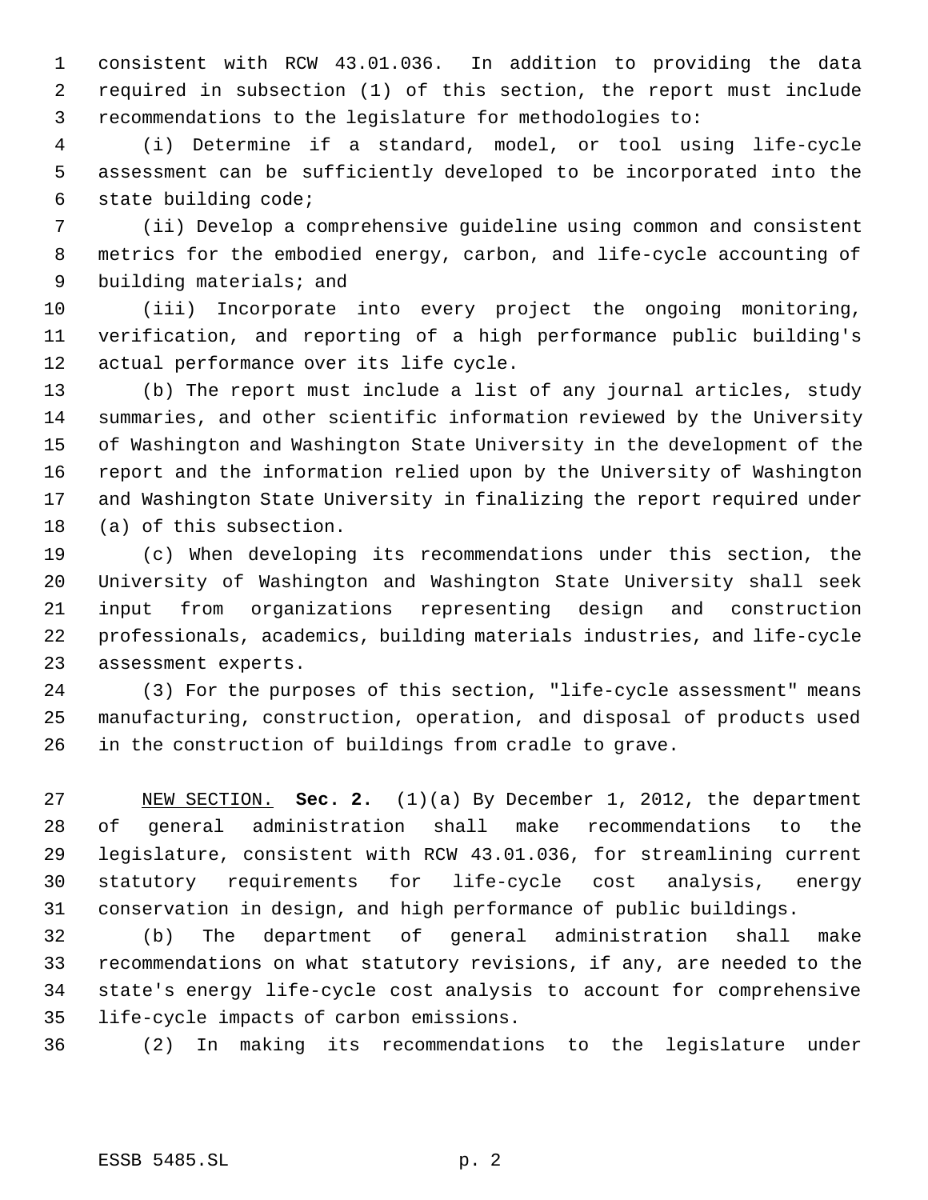consistent with RCW 43.01.036. In addition to providing the data required in subsection (1) of this section, the report must include recommendations to the legislature for methodologies to:

 (i) Determine if a standard, model, or tool using life-cycle assessment can be sufficiently developed to be incorporated into the state building code;

 (ii) Develop a comprehensive guideline using common and consistent metrics for the embodied energy, carbon, and life-cycle accounting of building materials; and

 (iii) Incorporate into every project the ongoing monitoring, verification, and reporting of a high performance public building's actual performance over its life cycle.

 (b) The report must include a list of any journal articles, study summaries, and other scientific information reviewed by the University of Washington and Washington State University in the development of the report and the information relied upon by the University of Washington and Washington State University in finalizing the report required under (a) of this subsection.

 (c) When developing its recommendations under this section, the University of Washington and Washington State University shall seek input from organizations representing design and construction professionals, academics, building materials industries, and life-cycle assessment experts.

 (3) For the purposes of this section, "life-cycle assessment" means manufacturing, construction, operation, and disposal of products used in the construction of buildings from cradle to grave.

 NEW SECTION. **Sec. 2.** (1)(a) By December 1, 2012, the department of general administration shall make recommendations to the legislature, consistent with RCW 43.01.036, for streamlining current statutory requirements for life-cycle cost analysis, energy conservation in design, and high performance of public buildings.

 (b) The department of general administration shall make recommendations on what statutory revisions, if any, are needed to the state's energy life-cycle cost analysis to account for comprehensive life-cycle impacts of carbon emissions.

(2) In making its recommendations to the legislature under